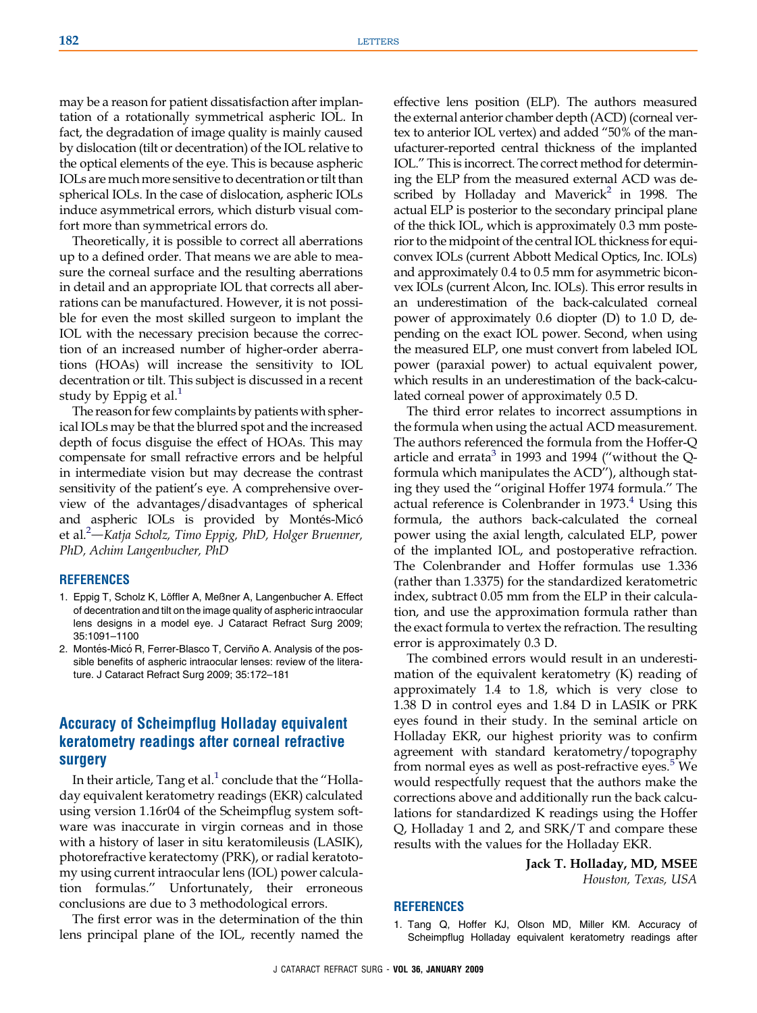may be a reason for patient dissatisfaction after implantation of a rotationally symmetrical aspheric IOL. In fact, the degradation of image quality is mainly caused by dislocation (tilt or decentration) of the IOL relative to the optical elements of the eye. This is because aspheric IOLs are much more sensitive to decentration or tilt than spherical IOLs. In the case of dislocation, aspheric IOLs induce asymmetrical errors, which disturb visual comfort more than symmetrical errors do.

Theoretically, it is possible to correct all aberrations up to a defined order. That means we are able to measure the corneal surface and the resulting aberrations in detail and an appropriate IOL that corrects all aberrations can be manufactured. However, it is not possible for even the most skilled surgeon to implant the IOL with the necessary precision because the correction of an increased number of higher-order aberrations (HOAs) will increase the sensitivity to IOL decentration or tilt. This subject is discussed in a recent study by Eppig et al. $<sup>1</sup>$ </sup>

The reason for few complaints by patients with spherical IOLs may be that the blurred spot and the increased depth of focus disguise the effect of HOAs. This may compensate for small refractive errors and be helpful in intermediate vision but may decrease the contrast sensitivity of the patient's eye. A comprehensive overview of the advantages/disadvantages of spherical and aspheric IOLs is provided by Montés-Micó et al.<sup>2</sup>—Katja Scholz, Timo Eppig, PhD, Holger Bruenner, PhD, Achim Langenbucher, PhD

## **REFERENCES**

- 1. Eppig T, Scholz K, Löffler A, Meßner A, Langenbucher A. Effect of decentration and tilt on the image quality of aspheric intraocular lens designs in a model eye. J Cataract Refract Surg 2009; 35:1091–1100
- 2. Montés-Micó R, Ferrer-Blasco T, Cerviño A. Analysis of the possible benefits of aspheric intraocular lenses: review of the literature. J Cataract Refract Surg 2009; 35:172–181

## Accuracy of Scheimpflug Holladay equivalent keratometry readings after corneal refractive surgery

In their article, Tang et al. $<sup>1</sup>$  conclude that the "Holla-</sup> day equivalent keratometry readings (EKR) calculated using version 1.16r04 of the Scheimpflug system software was inaccurate in virgin corneas and in those with a history of laser in situ keratomileusis (LASIK), photorefractive keratectomy (PRK), or radial keratotomy using current intraocular lens (IOL) power calculation formulas.'' Unfortunately, their erroneous conclusions are due to 3 methodological errors.

The first error was in the determination of the thin lens principal plane of the IOL, recently named the

effective lens position (ELP). The authors measured the external anterior chamber depth (ACD) (corneal vertex to anterior IOL vertex) and added ''50% of the manufacturer-reported central thickness of the implanted IOL.'' This is incorrect. The correct method for determining the ELP from the measured external ACD was described by Holladay and Maverick<sup>2</sup> in 1998. The actual ELP is posterior to the secondary principal plane of the thick IOL, which is approximately 0.3 mm posterior to the midpoint of the central IOL thickness for equiconvex IOLs (current Abbott Medical Optics, Inc. IOLs) and approximately 0.4 to 0.5 mm for asymmetric biconvex IOLs (current Alcon, Inc. IOLs). This error results in an underestimation of the back-calculated corneal power of approximately 0.6 diopter (D) to 1.0 D, depending on the exact IOL power. Second, when using the measured ELP, one must convert from labeled IOL power (paraxial power) to actual equivalent power, which results in an underestimation of the back-calculated corneal power of approximately 0.5 D.

The third error relates to incorrect assumptions in the formula when using the actual ACD measurement. The authors referenced the formula from the Hoffer-Q article and errata<sup>[3](#page-1-0)</sup> in 1993 and 1994 ("without the Qformula which manipulates the ACD''), although stating they used the ''original Hoffer 1974 formula.'' The actual reference is Colenbrander in 1973.<sup>[4](#page-1-0)</sup> Using this formula, the authors back-calculated the corneal power using the axial length, calculated ELP, power of the implanted IOL, and postoperative refraction. The Colenbrander and Hoffer formulas use 1.336 (rather than 1.3375) for the standardized keratometric index, subtract 0.05 mm from the ELP in their calculation, and use the approximation formula rather than the exact formula to vertex the refraction. The resulting error is approximately 0.3 D.

The combined errors would result in an underestimation of the equivalent keratometry (K) reading of approximately 1.4 to 1.8, which is very close to 1.38 D in control eyes and 1.84 D in LASIK or PRK eyes found in their study. In the seminal article on Holladay EKR, our highest priority was to confirm agreement with standard keratometry/topography from normal eyes as well as post-refractive eyes.<sup>[5](#page-1-0)</sup> We would respectfully request that the authors make the corrections above and additionally run the back calculations for standardized K readings using the Hoffer Q, Holladay 1 and 2, and SRK/T and compare these results with the values for the Holladay EKR.

> Jack T. Holladay, MD, MSEE Houston, Texas, USA

## REFERENCES

1. Tang Q, Hoffer KJ, Olson MD, Miller KM. Accuracy of Scheimpflug Holladay equivalent keratometry readings after